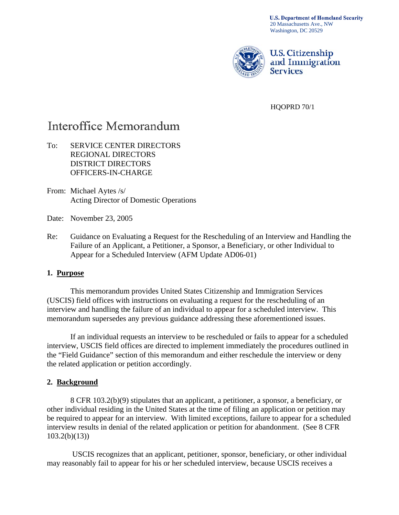**U.S. Department of Homeland Security** 20 Massachusetts Ave., NW Washington, DC 20529



**U.S. Citizenship** and Immigration **Services** 

HQOPRD 70/1

# Interoffice Memorandum

# To: SERVICE CENTER DIRECTORS REGIONAL DIRECTORS DISTRICT DIRECTORS OFFICERS-IN-CHARGE

- From: Michael Aytes /s/ Acting Director of Domestic Operations
- Date: November 23, 2005
- Re: Guidance on Evaluating a Request for the Rescheduling of an Interview and Handling the Failure of an Applicant, a Petitioner, a Sponsor, a Beneficiary, or other Individual to Appear for a Scheduled Interview (AFM Update AD06-01)

# **1. Purpose**

This memorandum provides United States Citizenship and Immigration Services (USCIS) field offices with instructions on evaluating a request for the rescheduling of an interview and handling the failure of an individual to appear for a scheduled interview. This memorandum supersedes any previous guidance addressing these aforementioned issues.

If an individual requests an interview to be rescheduled or fails to appear for a scheduled interview, USCIS field offices are directed to implement immediately the procedures outlined in the "Field Guidance" section of this memorandum and either reschedule the interview or deny the related application or petition accordingly.

#### **2. Background**

 8 CFR 103.2(b)(9) stipulates that an applicant, a petitioner, a sponsor, a beneficiary, or other individual residing in the United States at the time of filing an application or petition may be required to appear for an interview. With limited exceptions, failure to appear for a scheduled interview results in denial of the related application or petition for abandonment. (See 8 CFR  $103.2(b)(13)$ 

 USCIS recognizes that an applicant, petitioner, sponsor, beneficiary, or other individual may reasonably fail to appear for his or her scheduled interview, because USCIS receives a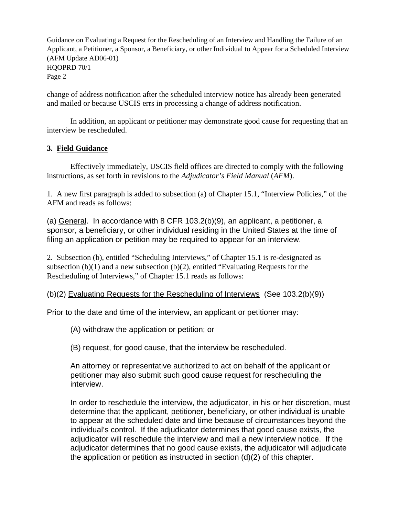change of address notification after the scheduled interview notice has already been generated and mailed or because USCIS errs in processing a change of address notification.

In addition, an applicant or petitioner may demonstrate good cause for requesting that an interview be rescheduled.

# **3. Field Guidance**

Effectively immediately, USCIS field offices are directed to comply with the following instructions, as set forth in revisions to the *Adjudicator's Field Manual* (*AFM*).

1. A new first paragraph is added to subsection (a) of Chapter 15.1, "Interview Policies," of the AFM and reads as follows:

(a) General. In accordance with 8 CFR 103.2(b)(9), an applicant, a petitioner, a sponsor, a beneficiary, or other individual residing in the United States at the time of filing an application or petition may be required to appear for an interview.

2. Subsection (b), entitled "Scheduling Interviews," of Chapter 15.1 is re-designated as subsection (b)(1) and a new subsection (b)(2), entitled "Evaluating Requests for the Rescheduling of Interviews," of Chapter 15.1 reads as follows:

#### (b)(2) Evaluating Requests for the Rescheduling of Interviews (See 103.2(b)(9))

Prior to the date and time of the interview, an applicant or petitioner may:

(A) withdraw the application or petition; or

(B) request, for good cause, that the interview be rescheduled.

An attorney or representative authorized to act on behalf of the applicant or petitioner may also submit such good cause request for rescheduling the interview.

In order to reschedule the interview, the adjudicator, in his or her discretion, must determine that the applicant, petitioner, beneficiary, or other individual is unable to appear at the scheduled date and time because of circumstances beyond the individual's control. If the adjudicator determines that good cause exists, the adjudicator will reschedule the interview and mail a new interview notice. If the adjudicator determines that no good cause exists, the adjudicator will adjudicate the application or petition as instructed in section (d)(2) of this chapter.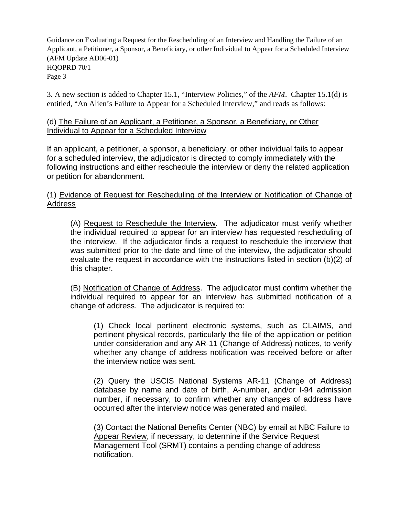3. A new section is added to Chapter 15.1, "Interview Policies," of the *AFM*. Chapter 15.1(d) is entitled, "An Alien's Failure to Appear for a Scheduled Interview," and reads as follows:

## (d) The Failure of an Applicant, a Petitioner, a Sponsor, a Beneficiary, or Other Individual to Appear for a Scheduled Interview

If an applicant, a petitioner, a sponsor, a beneficiary, or other individual fails to appear for a scheduled interview, the adjudicator is directed to comply immediately with the following instructions and either reschedule the interview or deny the related application or petition for abandonment.

# (1) Evidence of Request for Rescheduling of the Interview or Notification of Change of Address

(A) Request to Reschedule the Interview. The adjudicator must verify whether the individual required to appear for an interview has requested rescheduling of the interview. If the adjudicator finds a request to reschedule the interview that was submitted prior to the date and time of the interview, the adjudicator should evaluate the request in accordance with the instructions listed in section (b)(2) of this chapter.

(B) Notification of Change of Address. The adjudicator must confirm whether the individual required to appear for an interview has submitted notification of a change of address. The adjudicator is required to:

(1) Check local pertinent electronic systems, such as CLAIMS, and pertinent physical records, particularly the file of the application or petition under consideration and any AR-11 (Change of Address) notices, to verify whether any change of address notification was received before or after the interview notice was sent.

(2) Query the USCIS National Systems AR-11 (Change of Address) database by name and date of birth, A-number, and/or I-94 admission number, if necessary, to confirm whether any changes of address have occurred after the interview notice was generated and mailed.

(3) Contact the National Benefits Center (NBC) by email at NBC Failure to Appear Review, if necessary, to determine if the Service Request Management Tool (SRMT) contains a pending change of address notification.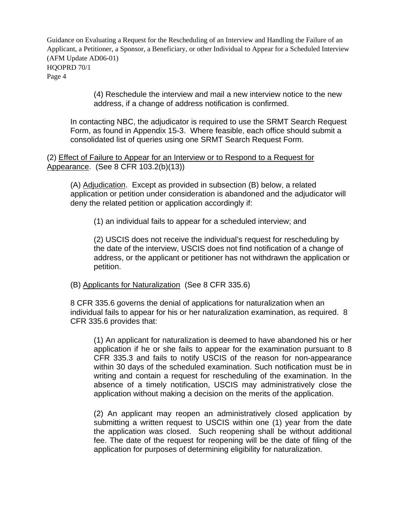> (4) Reschedule the interview and mail a new interview notice to the new address, if a change of address notification is confirmed.

In contacting NBC, the adjudicator is required to use the SRMT Search Request Form, as found in Appendix 15-3. Where feasible, each office should submit a consolidated list of queries using one SRMT Search Request Form.

(2) Effect of Failure to Appear for an Interview or to Respond to a Request for Appearance. (See 8 CFR 103.2(b)(13))

(A) Adjudication. Except as provided in subsection (B) below, a related application or petition under consideration is abandoned and the adjudicator will deny the related petition or application accordingly if:

(1) an individual fails to appear for a scheduled interview; and

(2) USCIS does not receive the individual's request for rescheduling by the date of the interview, USCIS does not find notification of a change of address, or the applicant or petitioner has not withdrawn the application or petition.

(B) Applicants for Naturalization (See 8 CFR 335.6)

8 CFR 335.6 governs the denial of applications for naturalization when an individual fails to appear for his or her naturalization examination, as required. 8 CFR 335.6 provides that:

(1) An applicant for naturalization is deemed to have abandoned his or her application if he or she fails to appear for the examination pursuant to 8 CFR 335.3 and fails to notify USCIS of the reason for non-appearance within 30 days of the scheduled examination. Such notification must be in writing and contain a request for rescheduling of the examination. In the absence of a timely notification, USCIS may administratively close the application without making a decision on the merits of the application.

(2) An applicant may reopen an administratively closed application by submitting a written request to USCIS within one (1) year from the date the application was closed. Such reopening shall be without additional fee. The date of the request for reopening will be the date of filing of the application for purposes of determining eligibility for naturalization.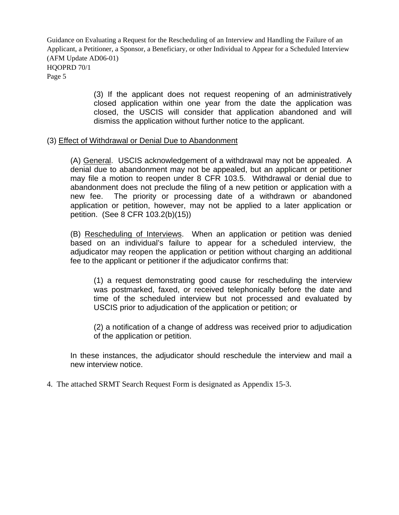> (3) If the applicant does not request reopening of an administratively closed application within one year from the date the application was closed, the USCIS will consider that application abandoned and will dismiss the application without further notice to the applicant.

#### (3) Effect of Withdrawal or Denial Due to Abandonment

(A) General. USCIS acknowledgement of a withdrawal may not be appealed. A denial due to abandonment may not be appealed, but an applicant or petitioner may file a motion to reopen under 8 CFR 103.5. Withdrawal or denial due to abandonment does not preclude the filing of a new petition or application with a new fee. The priority or processing date of a withdrawn or abandoned application or petition, however, may not be applied to a later application or petition. (See 8 CFR 103.2(b)(15))

(B) Rescheduling of Interviews. When an application or petition was denied based on an individual's failure to appear for a scheduled interview, the adjudicator may reopen the application or petition without charging an additional fee to the applicant or petitioner if the adjudicator confirms that:

(1) a request demonstrating good cause for rescheduling the interview was postmarked, faxed, or received telephonically before the date and time of the scheduled interview but not processed and evaluated by USCIS prior to adjudication of the application or petition; or

(2) a notification of a change of address was received prior to adjudication of the application or petition.

In these instances, the adjudicator should reschedule the interview and mail a new interview notice.

4. The attached SRMT Search Request Form is designated as Appendix 15-3.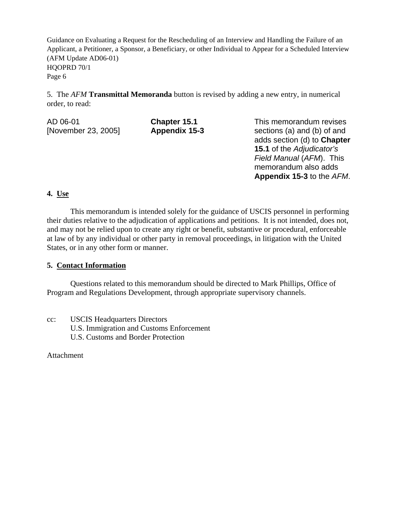5. The *AFM* **Transmittal Memoranda** button is revised by adding a new entry, in numerical order, to read:

| AD 06-01            | Chapter 15.1  | This memorand   |  |  |  |
|---------------------|---------------|-----------------|--|--|--|
| [November 23, 2005] | Appendix 15-3 | sections (a) an |  |  |  |
|                     |               | adds section (c |  |  |  |

dum revises d (b) of and **d**) to **Chapter 15.1** of the *Adjudicator's Field Manual* (*AFM*). This memorandum also adds **Appendix 15-3** to the *AFM*.

# **4. Use**

This memorandum is intended solely for the guidance of USCIS personnel in performing their duties relative to the adjudication of applications and petitions. It is not intended, does not, and may not be relied upon to create any right or benefit, substantive or procedural, enforceable at law of by any individual or other party in removal proceedings, in litigation with the United States, or in any other form or manner.

# **5. Contact Information**

 Questions related to this memorandum should be directed to Mark Phillips, Office of Program and Regulations Development, through appropriate supervisory channels.

cc: USCIS Headquarters Directors U.S. Immigration and Customs Enforcement U.S. Customs and Border Protection

Attachment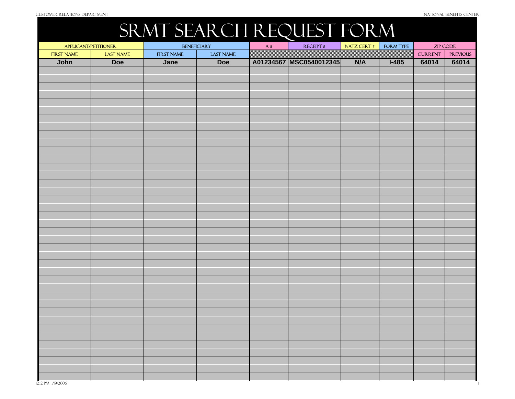# SRMT SEARCH REQUEST FORM

| APPLICANT/PETITIONER |           | <b>BENEFICIARY</b> |                  | A# | <b>RECEIPT#</b>           | NATZ CERT # | FORM TYPE |                | ZIP CODE        |
|----------------------|-----------|--------------------|------------------|----|---------------------------|-------------|-----------|----------------|-----------------|
| <b>FIRST NAME</b>    | LAST NAME | FIRST NAME         | <b>LAST NAME</b> |    |                           |             |           | <b>CURRENT</b> | <b>PREVIOUS</b> |
| John                 | Doe       | Jane               | Doe              |    | A01234567   MSC0540012345 | N/A         | $I-485$   | 64014          | 64014           |
|                      |           |                    |                  |    |                           |             |           |                |                 |
|                      |           |                    |                  |    |                           |             |           |                |                 |
|                      |           |                    |                  |    |                           |             |           |                |                 |
|                      |           |                    |                  |    |                           |             |           |                |                 |
|                      |           |                    |                  |    |                           |             |           |                |                 |
|                      |           |                    |                  |    |                           |             |           |                |                 |
|                      |           |                    |                  |    |                           |             |           |                |                 |
|                      |           |                    |                  |    |                           |             |           |                |                 |
|                      |           |                    |                  |    |                           |             |           |                |                 |
|                      |           |                    |                  |    |                           |             |           |                |                 |
|                      |           |                    |                  |    |                           |             |           |                |                 |
|                      |           |                    |                  |    |                           |             |           |                |                 |
|                      |           |                    |                  |    |                           |             |           |                |                 |
|                      |           |                    |                  |    |                           |             |           |                |                 |
|                      |           |                    |                  |    |                           |             |           |                |                 |
|                      |           |                    |                  |    |                           |             |           |                |                 |
|                      |           |                    |                  |    |                           |             |           |                |                 |
|                      |           |                    |                  |    |                           |             |           |                |                 |
|                      |           |                    |                  |    |                           |             |           |                |                 |
|                      |           |                    |                  |    |                           |             |           |                |                 |
|                      |           |                    |                  |    |                           |             |           |                |                 |
|                      |           |                    |                  |    |                           |             |           |                |                 |
|                      |           |                    |                  |    |                           |             |           |                |                 |
|                      |           |                    |                  |    |                           |             |           |                |                 |
|                      |           |                    |                  |    |                           |             |           |                |                 |
|                      |           |                    |                  |    |                           |             |           |                |                 |
|                      |           |                    |                  |    |                           |             |           |                |                 |
|                      |           |                    |                  |    |                           |             |           |                |                 |
|                      |           |                    |                  |    |                           |             |           |                |                 |
|                      |           |                    |                  |    |                           |             |           |                |                 |
|                      |           |                    |                  |    |                           |             |           |                |                 |
|                      |           |                    |                  |    |                           |             |           |                |                 |
|                      |           |                    |                  |    |                           |             |           |                |                 |
|                      |           |                    |                  |    |                           |             |           |                |                 |
|                      |           |                    |                  |    |                           |             |           |                |                 |
|                      |           |                    |                  |    |                           |             |           |                |                 |
|                      |           |                    |                  |    |                           |             |           |                |                 |
|                      |           |                    |                  |    |                           |             |           |                |                 |
|                      |           |                    |                  |    |                           |             |           |                |                 |